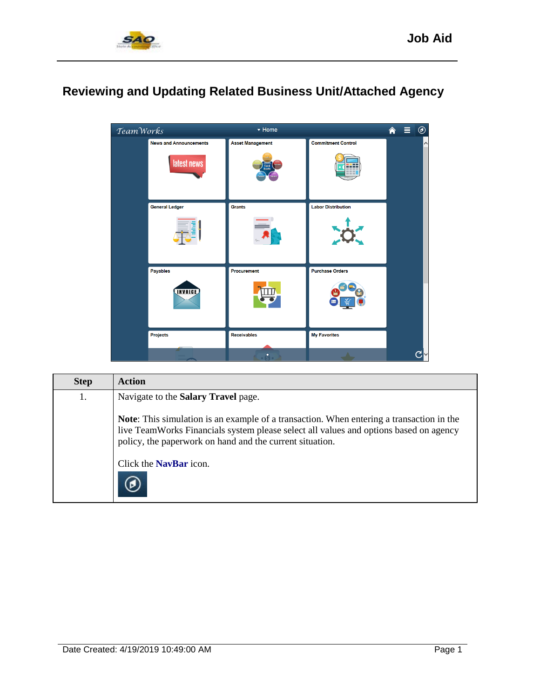

## **Reviewing and Updating Related Business Unit/Attached Agency**



| <b>Step</b> | <b>Action</b>                                                                                                                                                                                                                                        |
|-------------|------------------------------------------------------------------------------------------------------------------------------------------------------------------------------------------------------------------------------------------------------|
| 1.          | Navigate to the Salary Travel page.                                                                                                                                                                                                                  |
|             | <b>Note:</b> This simulation is an example of a transaction. When entering a transaction in the<br>live TeamWorks Financials system please select all values and options based on agency<br>policy, the paperwork on hand and the current situation. |
|             | Click the <b>NavBar</b> icon.                                                                                                                                                                                                                        |
|             |                                                                                                                                                                                                                                                      |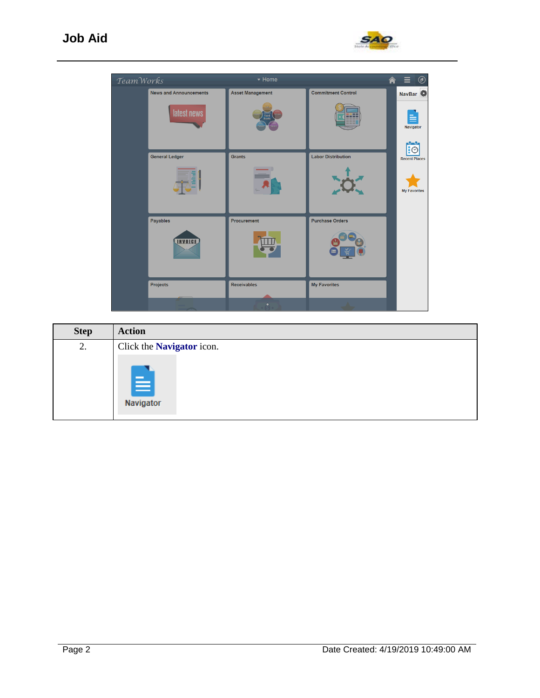

| TeamWorks |                                              | ▼ Home                          |                                 | Ξ<br>$^{\circledR}$<br>侖                    |
|-----------|----------------------------------------------|---------------------------------|---------------------------------|---------------------------------------------|
|           | <b>News and Announcements</b><br>latest news | <b>Asset Management</b>         | <b>Commitment Control</b><br>-- | NavBar<br>Navigator<br>$\mathbf{C}$         |
|           | <b>General Ledger</b>                        | <b>Grants</b>                   | <b>Labor Distribution</b>       | <b>Recent Places</b><br><b>My Favorites</b> |
|           | Payables<br><b>INVOICE</b>                   | Procurement                     | <b>Purchase Orders</b>          |                                             |
|           | Projects                                     | <b>Receivables</b><br>$\bullet$ | <b>My Favorites</b>             |                                             |

| <b>Step</b> | <b>Action</b>                    |
|-------------|----------------------------------|
| 2.          | Click the <b>Navigator</b> icon. |
|             | E<br>Navigator                   |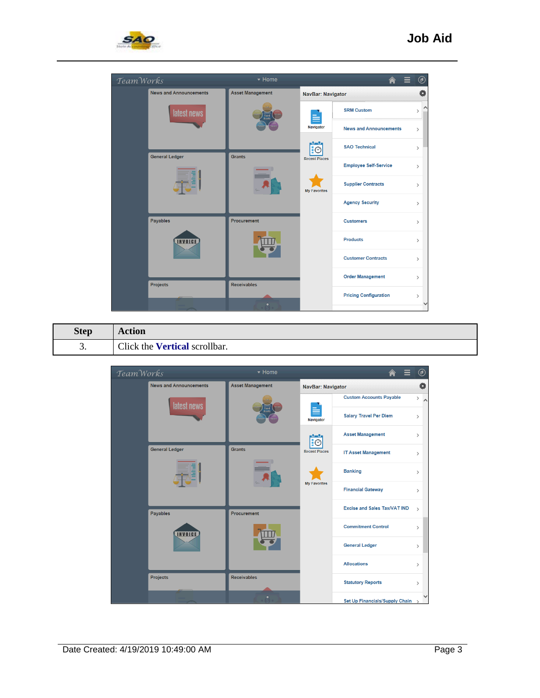



| <b>Step</b> | Action                               |
|-------------|--------------------------------------|
| J.          | Click the <b>Vertical</b> scrollbar. |

| Team Works |                               | v Home                  |                          |                                     | $^\circledR$      |
|------------|-------------------------------|-------------------------|--------------------------|-------------------------------------|-------------------|
|            | <b>News and Announcements</b> | <b>Asset Management</b> | <b>NavBar: Navigator</b> |                                     | Ö                 |
|            | latest news                   |                         |                          | <b>Custom Accounts Payable</b>      | $\rightarrow$     |
|            |                               |                         | E<br>Navigator           | <b>Salary Travel Per Diem</b>       | $\mathcal{P}$     |
|            |                               |                         | $\overline{\mathbf{E}}$  | <b>Asset Management</b>             | $\rightarrow$     |
|            | <b>General Ledger</b>         | <b>Grants</b>           | <b>Recent Places</b>     | <b>IT Asset Management</b>          | $\rightarrow$     |
|            | Ē                             |                         |                          | <b>Banking</b>                      | $\rightarrow$     |
|            |                               |                         | <b>My Favorites</b>      | <b>Financial Gateway</b>            | $\rightarrow$     |
|            | Payables                      | Procurement             |                          | <b>Excise and Sales Tax/VAT IND</b> | $\mathbf{\hat{}}$ |
|            | <b>NVOICE</b>                 |                         |                          | <b>Commitment Control</b>           | $\mathcal{P}$     |
|            |                               |                         |                          | <b>General Ledger</b>               | $\mathcal{P}$     |
|            |                               |                         |                          | <b>Allocations</b>                  | $\mathcal{E}$     |
|            | <b>Projects</b>               | <b>Receivables</b>      |                          | <b>Statutory Reports</b>            | $\rightarrow$     |
|            |                               |                         |                          | Set Up Financials/Supply Chain      | $\rightarrow$     |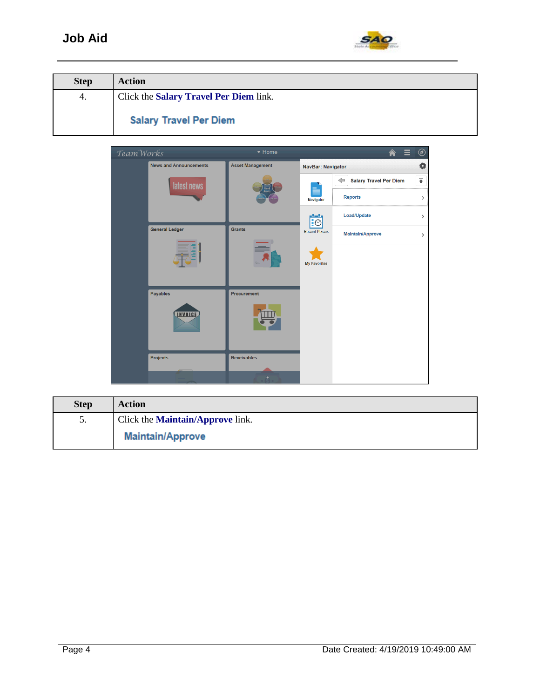

| <b>Step</b> | <b>Action</b>                          |
|-------------|----------------------------------------|
| 4.          | Click the Salary Travel Per Diem link. |
|             | <b>Salary Travel Per Diem</b>          |



| <b>Step</b>     | <b>Action</b>                           |
|-----------------|-----------------------------------------|
| $\mathcal{L}$ . | Click the <b>Maintain/Approve</b> link. |
|                 | <b>Maintain/Approve</b>                 |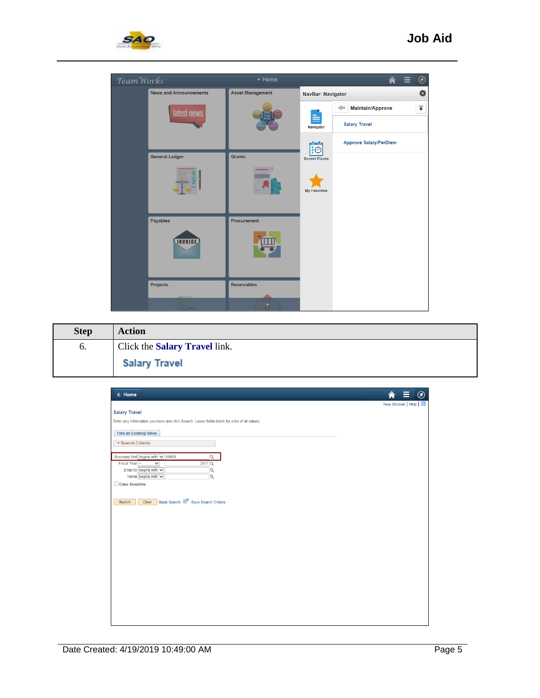

| TeamWorks |                               | ▼ Home                  |                      | $^{\circledR}$<br>Ξ<br><mark>а</mark> |
|-----------|-------------------------------|-------------------------|----------------------|---------------------------------------|
|           | <b>News and Announcements</b> | <b>Asset Management</b> | NavBar: Navigator    | Ö                                     |
|           | latest news                   |                         |                      | 香<br><b>Maintain/Approve</b><br>⇐     |
|           |                               | <b>Fixed</b><br>Asset   | Navigator            | <b>Salary Travel</b>                  |
|           |                               |                         | $\mathbf{E}$         | <b>Approve Salary/PerDiem</b>         |
|           | <b>General Ledger</b>         | <b>Grants</b>           | <b>Recent Places</b> |                                       |
|           |                               |                         | <b>My Favorites</b>  |                                       |
|           | Payables<br>INVOICE           | Procurement             |                      |                                       |
|           | <b>Projects</b>               | <b>Receivables</b>      |                      |                                       |
|           |                               | $\bullet$               |                      |                                       |

| <b>Step</b> | <b>Action</b>                 |
|-------------|-------------------------------|
| 6.          | Click the Salary Travel link. |
|             | <b>Salary Travel</b>          |

| < Home                                                                                        | $^\copyright$<br>New Window   Help |
|-----------------------------------------------------------------------------------------------|------------------------------------|
| <b>Salary Travel</b>                                                                          |                                    |
| Enter any information you have and click Search. Leave fields blank for a list of all values. |                                    |
|                                                                                               |                                    |
| <b>Find an Existing Value</b>                                                                 |                                    |
| Search Criteria                                                                               |                                    |
| Business Unit begins with v 48400<br>$\overline{\mathbf{Q}}$                                  |                                    |
| Fiscal Year $=$<br>$\overline{\mathsf{v}}$<br>2017Q                                           |                                    |
| Empl ID begins with $\sqrt{}$<br>$\overline{\mathbf{Q}}$                                      |                                    |
| Name begins with $\vee$<br>$\overline{\mathsf{Q}}$                                            |                                    |
| □ Case Sensitive                                                                              |                                    |
|                                                                                               |                                    |
|                                                                                               |                                    |
|                                                                                               |                                    |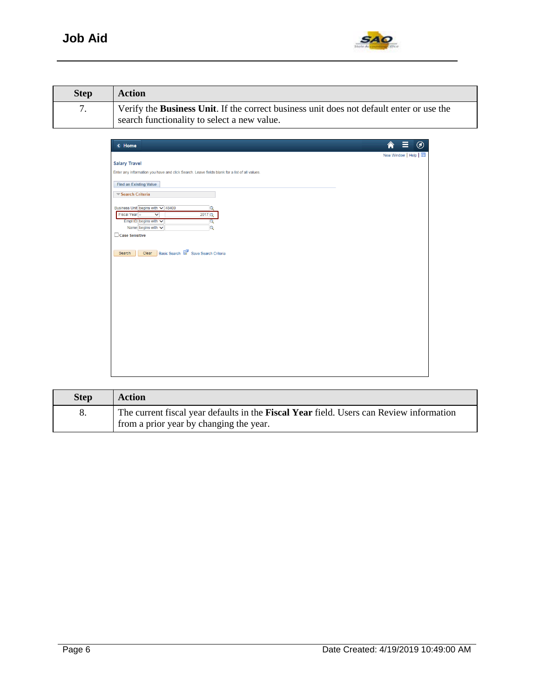

| <b>Step</b> | <b>Action</b>                                                                                                                                   |
|-------------|-------------------------------------------------------------------------------------------------------------------------------------------------|
|             | Verify the <b>Business Unit</b> . If the correct business unit does not default enter or use the<br>search functionality to select a new value. |

| < Home                                                                                        | $\circledcirc$    |
|-----------------------------------------------------------------------------------------------|-------------------|
| <b>Salary Travel</b>                                                                          | New Window   Help |
| Enter any information you have and click Search. Leave fields blank for a list of all values. |                   |
|                                                                                               |                   |
| <b>Find an Existing Value</b>                                                                 |                   |
| Search Criteria                                                                               |                   |
| Business Unit begins with v 48400<br>Q                                                        |                   |
| Fiscal Year $\sqrt{ }$<br>$\overline{\mathbf{v}}$<br>2017Q                                    |                   |
| Empl ID begins with v<br>Q                                                                    |                   |
| $\overline{\mathbf{Q}}$<br>Name begins with $\vee$                                            |                   |
| Case Sensitive                                                                                |                   |
|                                                                                               |                   |
| Basic Search & Save Search Criteria<br>Clear<br>Search                                        |                   |
|                                                                                               |                   |
|                                                                                               |                   |
|                                                                                               |                   |
|                                                                                               |                   |
|                                                                                               |                   |
|                                                                                               |                   |
|                                                                                               |                   |
|                                                                                               |                   |
|                                                                                               |                   |
|                                                                                               |                   |
|                                                                                               |                   |
|                                                                                               |                   |
|                                                                                               |                   |
|                                                                                               |                   |

| <b>Step</b> | <b>Action</b>                                                                                                                             |
|-------------|-------------------------------------------------------------------------------------------------------------------------------------------|
|             | The current fiscal year defaults in the <b>Fiscal Year</b> field. Users can Review information<br>from a prior year by changing the year. |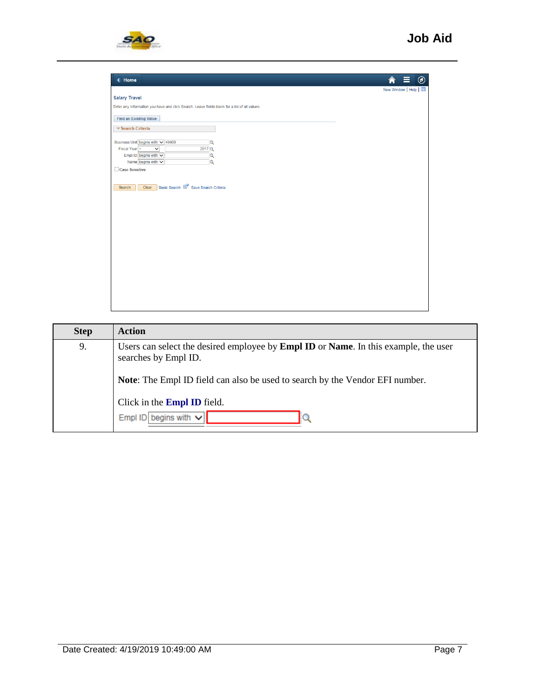

| < Home                                                                                                                                                                                                                                                         |                   | $^{\copyright}$ |
|----------------------------------------------------------------------------------------------------------------------------------------------------------------------------------------------------------------------------------------------------------------|-------------------|-----------------|
|                                                                                                                                                                                                                                                                | New Window   Help |                 |
| <b>Salary Travel</b>                                                                                                                                                                                                                                           |                   |                 |
| Enter any information you have and click Search. Leave fields blank for a list of all values.                                                                                                                                                                  |                   |                 |
| <b>Find an Existing Value</b>                                                                                                                                                                                                                                  |                   |                 |
| Search Criteria                                                                                                                                                                                                                                                |                   |                 |
| Business Unit begins with v 48400<br>$\overline{\mathsf{Q}}$<br>Fiscal Year $\sqrt{ }$<br>2017 Q<br>$\overline{\mathsf{v}}$<br>$\overline{\mathbf{Q}}$<br>Empl ID begins with $\vee$<br>$\overline{\mathbf{Q}}$<br>Name begins with $\vee$<br>□ Case Sensitive |                   |                 |
| Basic Search & Save Search Criteria<br>Clear<br>Search                                                                                                                                                                                                         |                   |                 |
|                                                                                                                                                                                                                                                                |                   |                 |
|                                                                                                                                                                                                                                                                |                   |                 |
|                                                                                                                                                                                                                                                                |                   |                 |
|                                                                                                                                                                                                                                                                |                   |                 |
|                                                                                                                                                                                                                                                                |                   |                 |
|                                                                                                                                                                                                                                                                |                   |                 |
|                                                                                                                                                                                                                                                                |                   |                 |
|                                                                                                                                                                                                                                                                |                   |                 |
|                                                                                                                                                                                                                                                                |                   |                 |
|                                                                                                                                                                                                                                                                |                   |                 |
|                                                                                                                                                                                                                                                                |                   |                 |
|                                                                                                                                                                                                                                                                |                   |                 |

| <b>Step</b> | <b>Action</b>                                                                                               |  |
|-------------|-------------------------------------------------------------------------------------------------------------|--|
| 9.          | Users can select the desired employee by Empl ID or Name. In this example, the user<br>searches by Empl ID. |  |
|             | <b>Note:</b> The Empl ID field can also be used to search by the Vendor EFI number.                         |  |
|             | Click in the <b>Empl ID</b> field.                                                                          |  |
|             | Empl ID begins with $\vee$                                                                                  |  |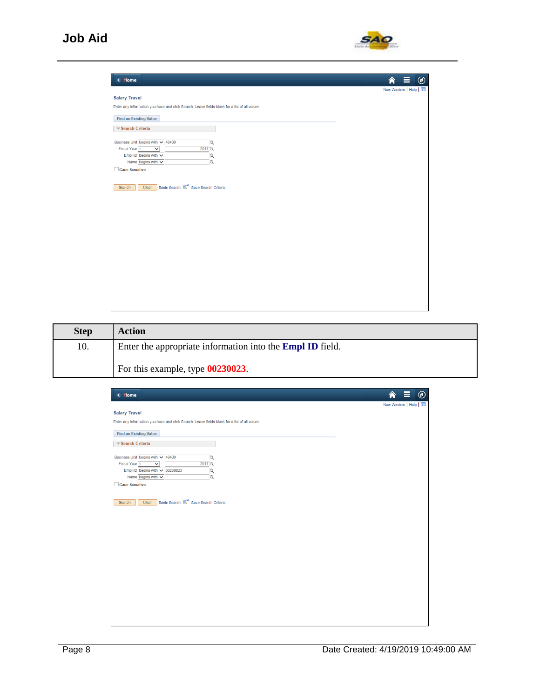

| < Home                                                                                        | $\circledcirc$    |
|-----------------------------------------------------------------------------------------------|-------------------|
|                                                                                               | New Window   Help |
| <b>Salary Travel</b>                                                                          |                   |
| Enter any information you have and click Search. Leave fields blank for a list of all values. |                   |
| <b>Find an Existing Value</b>                                                                 |                   |
| Search Criteria                                                                               |                   |
| Business Unit begins with v 48400<br>$\alpha$                                                 |                   |
| Fiscal Year $\sqrt{=}$<br>$\overline{\mathsf{v}}$<br>2017 Q                                   |                   |
| Empl ID begins with $\vee$<br>Q<br>Name begins with $\vee$<br>$\alpha$                        |                   |
| □ Case Sensitive                                                                              |                   |
|                                                                                               |                   |
| Basic Search & Save Search Criteria<br>Clear<br>Search                                        |                   |
|                                                                                               |                   |
|                                                                                               |                   |

| <b>Step</b> | <b>Action</b>                                                    |
|-------------|------------------------------------------------------------------|
| 10.         | Enter the appropriate information into the <b>Empl ID</b> field. |
|             | For this example, type 00230023.                                 |

| < Home                                                                                        | 合                 | $\circledcirc$ |
|-----------------------------------------------------------------------------------------------|-------------------|----------------|
|                                                                                               | New Window   Help |                |
| <b>Salary Travel</b>                                                                          |                   |                |
| Enter any information you have and click Search. Leave fields blank for a list of all values. |                   |                |
| <b>Find an Existing Value</b>                                                                 |                   |                |
|                                                                                               |                   |                |
| Search Criteria                                                                               |                   |                |
| Business Unit begins with v 48400<br>$\overline{\mathsf{Q}}$                                  |                   |                |
| Fiscal Year $\sqrt{ }$<br>2017Q<br>$\overline{\mathsf{v}}$                                    |                   |                |
| Empl ID begins with v 00230023<br>$ \mathbf{Q} $                                              |                   |                |
| $\overline{\mathbf{Q}}$<br>Name begins with $\vee$                                            |                   |                |
| □ Case Sensitive                                                                              |                   |                |
|                                                                                               |                   |                |
| Basic Search & Save Search Criteria<br>Clear<br>Search                                        |                   |                |
|                                                                                               |                   |                |
|                                                                                               |                   |                |
|                                                                                               |                   |                |
|                                                                                               |                   |                |
|                                                                                               |                   |                |
|                                                                                               |                   |                |
|                                                                                               |                   |                |
|                                                                                               |                   |                |
|                                                                                               |                   |                |
|                                                                                               |                   |                |
|                                                                                               |                   |                |
|                                                                                               |                   |                |
|                                                                                               |                   |                |
|                                                                                               |                   |                |
|                                                                                               |                   |                |
|                                                                                               |                   |                |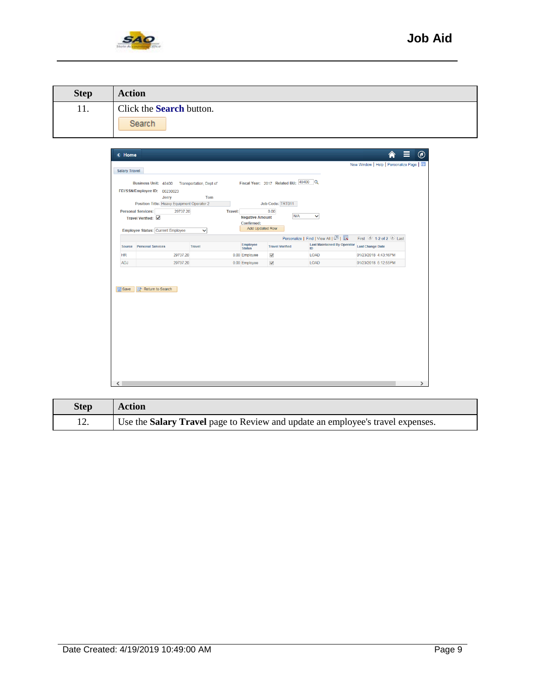

| <b>Step</b> | <b>Action</b>                   |
|-------------|---------------------------------|
| 11.         | Click the <b>Search</b> button. |
|             | Search                          |

| <b>Salary Travel</b> |                                                                                                    |                                |                                      |                                     |                                                           | New Window   Help   Personalize Page      |
|----------------------|----------------------------------------------------------------------------------------------------|--------------------------------|--------------------------------------|-------------------------------------|-----------------------------------------------------------|-------------------------------------------|
|                      | Business Unit: 48400<br>FEI/SSN/Employee ID: 00230023<br>Jerry                                     | Transportation, Dept of<br>Tom |                                      | Fiscal Year: 2017 Related BU: 48400 | lQ.                                                       |                                           |
|                      | Position Title: Heavy Equipment Operator 2<br>Personal Services:<br>29737.20<br>Travel Verified: √ | <b>Travel:</b>                 | <b>Negative Amount</b><br>Confirmed: | Job Code: TRT011<br>0.00<br>N/A     | $\checkmark$                                              |                                           |
|                      | Employee Status: Current Employee                                                                  | $\checkmark$                   | Add Updated Row                      |                                     |                                                           |                                           |
|                      |                                                                                                    |                                |                                      |                                     | Personalize   Find   View All   $\boxed{2}$   $\boxed{4}$ | First $\bigcirc$ 1-2 of 2 $\bigcirc$ Last |
| Source               | <b>Personal Services</b>                                                                           | Travel                         | <b>Employee</b><br><b>Status</b>     | <b>Travel Verified</b>              | <b>Last Maintained By Operator</b><br>ID                  | <b>Last Change Date</b>                   |
| <b>HR</b>            | 29737.20                                                                                           |                                | 0.00 Employee                        | √                                   | <b>LOAD</b>                                               | 01/23/2018 4:43:16PM                      |
| ADJ                  | 29737.20                                                                                           |                                | 0.00 Employee                        | $\checkmark$                        | <b>LOAD</b>                                               | 01/23/2018 5:12:55PM                      |
|                      | o <sup>+</sup> Return to Search                                                                    |                                |                                      |                                     |                                                           |                                           |
| <b>圖</b> Save        |                                                                                                    |                                |                                      |                                     |                                                           |                                           |

| <b>Step</b> | <b>Action</b>                                                                  |
|-------------|--------------------------------------------------------------------------------|
| 12.         | Use the Salary Travel page to Review and update an employee's travel expenses. |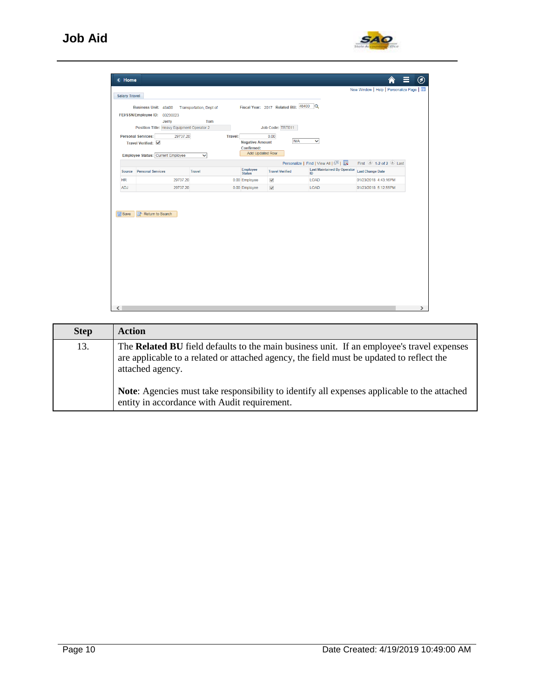

| <b>Salary Travel</b> | Business Unit: 48400<br>FEI/SSN/Employee ID: 00230023<br>Jerry<br>Position Title: Heavy Equipment Operator 2<br><b>Personal Services:</b><br>29737.20<br>Travel Verified: V | Transportation, Dept of<br>Tom<br><b>Travel:</b> | <b>Negative Amount</b><br>Confirmed:<br>Add Updated Row | Fiscal Year: 2017 Related BU: 48400<br>Job Code: TRT011<br>0.00<br>N/A | $\alpha$<br>$\checkmark$                                                        |                                                |
|----------------------|-----------------------------------------------------------------------------------------------------------------------------------------------------------------------------|--------------------------------------------------|---------------------------------------------------------|------------------------------------------------------------------------|---------------------------------------------------------------------------------|------------------------------------------------|
|                      | Employee Status: Current Employee                                                                                                                                           | $\checkmark$                                     |                                                         |                                                                        |                                                                                 |                                                |
| Source               | <b>Personal Services</b>                                                                                                                                                    | <b>Travel</b>                                    | Employee<br>Status                                      | <b>Travel Verified</b>                                                 | Personalize   Find   View All   2  <br><b>Last Maintained By Operator</b><br>ID | First 1-2 of 2 Last<br><b>Last Change Date</b> |
| <b>HR</b>            | 29737.20                                                                                                                                                                    |                                                  | 0.00 Employee                                           | √                                                                      | <b>LOAD</b>                                                                     | 01/23/2018 4:43:16PM                           |
| <b>ADJ</b>           | 29737.20                                                                                                                                                                    |                                                  | 0.00 Employee                                           | $\checkmark$                                                           | <b>LOAD</b>                                                                     | 01/23/2018 5:12:55PM                           |
| <b>B</b> Save        | Return to Search                                                                                                                                                            |                                                  |                                                         |                                                                        |                                                                                 |                                                |

| <b>Step</b> | <b>Action</b>                                                                                                                                                                                                    |
|-------------|------------------------------------------------------------------------------------------------------------------------------------------------------------------------------------------------------------------|
| 13.         | The <b>Related BU</b> field defaults to the main business unit. If an employee's travel expenses<br>are applicable to a related or attached agency, the field must be updated to reflect the<br>attached agency. |
|             | <b>Note:</b> Agencies must take responsibility to identify all expenses applicable to the attached<br>entity in accordance with Audit requirement.                                                               |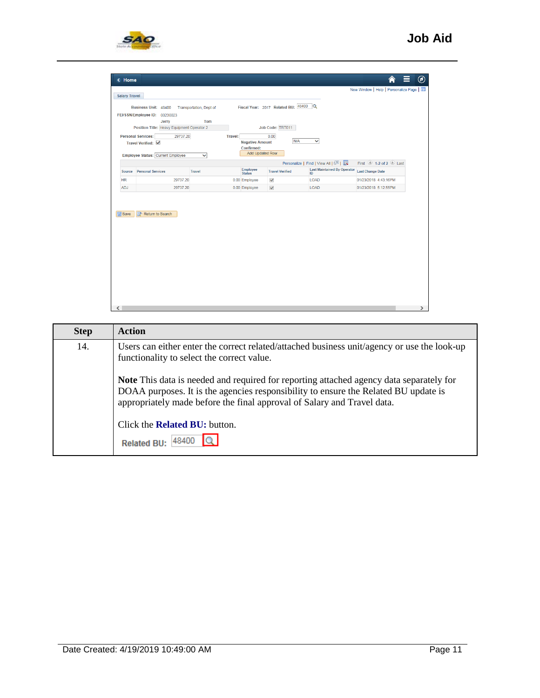

| <b>Salary Travel</b> | Business Unit: 48400<br>FEI/SSN/Employee ID: 00230023<br>Jerry<br>Position Title: Heavy Equipment Operator 2<br>Personal Services:<br>29737.20<br>Travel Verified: V<br>Employee Status: Current Employee | Transportation, Dept of<br>Tom<br><b>Travel:</b><br>◡ | <b>Negative Amount</b><br>Confirmed:<br>Add Updated Row | Fiscal Year: 2017 Related BU: 48400 Q<br>Job Code: TRT011<br>0.00<br>N/A | $\checkmark$                             | New Window   Help   Personalize Page |  |
|----------------------|-----------------------------------------------------------------------------------------------------------------------------------------------------------------------------------------------------------|-------------------------------------------------------|---------------------------------------------------------|--------------------------------------------------------------------------|------------------------------------------|--------------------------------------|--|
|                      |                                                                                                                                                                                                           |                                                       |                                                         |                                                                          | Personalize   Find   View All   2        | First 1-2 of 2 Last                  |  |
| <b>Source</b>        | <b>Personal Services</b>                                                                                                                                                                                  | Travel                                                | Employee<br><b>Status</b>                               | <b>Travel Verified</b>                                                   | <b>Last Maintained By Operator</b><br>ID | <b>Last Change Date</b>              |  |
| <b>HR</b>            | 29737.20                                                                                                                                                                                                  |                                                       | 0.00 Employee                                           | √                                                                        | <b>LOAD</b>                              | 01/23/2018 4:43:16PM                 |  |
| <b>ADJ</b>           | 29737.20                                                                                                                                                                                                  |                                                       | 0.00 Employee                                           | $\checkmark$                                                             | <b>LOAD</b>                              | 01/23/2018 5:12:55PM                 |  |
| <b>■</b> Save        | Return to Search                                                                                                                                                                                          |                                                       |                                                         |                                                                          |                                          |                                      |  |

| <b>Step</b> | <b>Action</b>                                                                                                                                                                                                                                                    |
|-------------|------------------------------------------------------------------------------------------------------------------------------------------------------------------------------------------------------------------------------------------------------------------|
| 14.         | Users can either enter the correct related/attached business unit/agency or use the look-up<br>functionality to select the correct value.                                                                                                                        |
|             | <b>Note</b> This data is needed and required for reporting attached agency data separately for<br>DOAA purposes. It is the agencies responsibility to ensure the Related BU update is<br>appropriately made before the final approval of Salary and Travel data. |
|             | Click the <b>Related BU</b> : button.                                                                                                                                                                                                                            |
|             | Related BU: 48400                                                                                                                                                                                                                                                |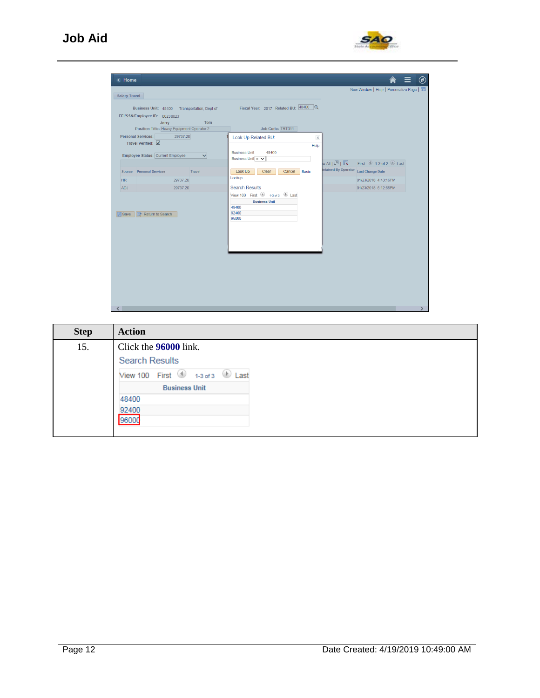

| < Home<br>Salary Travel |                                                                                                                                      |               |                                                                                                       |                                       | New Window   Help   Personalize Page                                    |
|-------------------------|--------------------------------------------------------------------------------------------------------------------------------------|---------------|-------------------------------------------------------------------------------------------------------|---------------------------------------|-------------------------------------------------------------------------|
|                         | Business Unit: 48400 Transportation, Dept of<br>FEI/SSN/Employee ID: 00230023<br>Jerry<br>Position Title: Heavy Equipment Operator 2 | Tom           | Fiscal Year: 2017 Related BU: 48400 Q<br>Job Code: TRT011                                             |                                       |                                                                         |
|                         | Personal Services:<br>29737.20<br>Travel Verified: V<br>Employee Status: Current Employee                                            | $\checkmark$  | Look Up Related BU:<br>$\times$<br>Help<br><b>Business Unit</b><br>48400<br>Business Unit = $\sqrt{}$ | wall四l展                               | First $\textcircled{\texttt{1-2}}$ of 2 $\textcircled{\texttt{1}}$ Last |
|                         | Source Personal Services                                                                                                             | <b>Travel</b> | Look Up<br>Clear<br>Cancel<br><b>Basic</b><br>Lookup                                                  | Intained By Operator Last Change Date |                                                                         |
| HR<br>ADJ               | 29737.20<br>29737.20                                                                                                                 |               | <b>Search Results</b>                                                                                 |                                       | 01/23/2018 4:43:16PM<br>01/23/2018 5:12:55PM                            |
| <b>開Save</b>            | <b>Return to Search</b>                                                                                                              |               | View 100 First 1 1-3 of 3 Last<br><b>Business Unit</b><br>48400<br>92400<br>96000                     |                                       |                                                                         |
|                         |                                                                                                                                      |               |                                                                                                       |                                       |                                                                         |

| <b>Step</b> | <b>Action</b>                                      |
|-------------|----------------------------------------------------|
| 15.         | Click the 96000 link.                              |
|             | <b>Search Results</b>                              |
|             | View 100 First $\bigcirc$ 1-3 of 3 $\bigcirc$ Last |
|             | <b>Business Unit</b>                               |
|             | 48400                                              |
|             | 92400                                              |
|             | 96000                                              |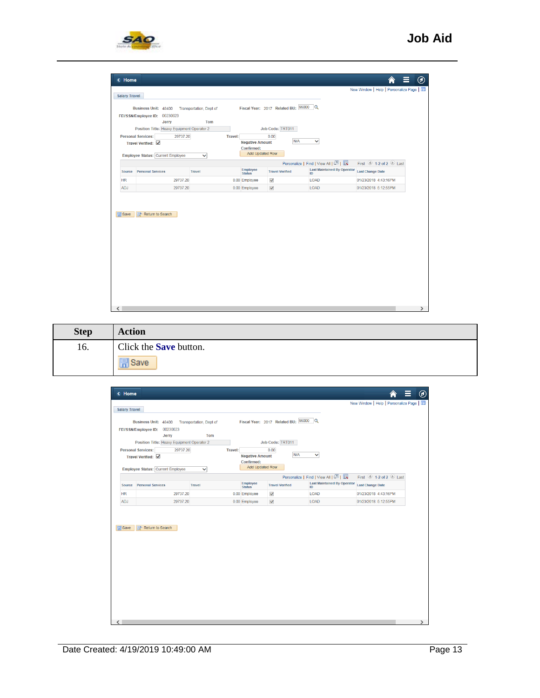

| <b>Negative Amount</b><br>Travel Verified: √<br>Confirmed:<br>Add Updated Row<br>Employee Status: Current Employee<br>$\checkmark$<br>Personalize   Find   View All   2  <br>First $\bigcirc$ 1-2 of 2 $\bigcirc$ Last<br>Employee<br><b>Last Maintained By Operator</b><br><b>Travel Verified</b><br><b>Last Change Date</b><br><b>Personal Services</b><br><b>Travel</b><br>Source<br><b>Status</b><br>ID<br>29737.20<br><b>HR</b><br>0.00 Employee<br>√<br><b>LOAD</b><br>01/23/2018 4:43:16PM<br>ADJ<br>$\checkmark$<br>29737.20<br>0.00 Employee<br>LOAD<br>01/23/2018 5:12:55PM<br>Return to Search<br><b>開</b> Save | FEI/SSN/Employee ID: 00230023<br>Jerry<br>Position Title: Heavy Equipment Operator 2<br><b>Personal Services:</b><br>29737.20 | Tom<br><b>Travel:</b> | Job Code: TRT011<br>0.00<br>N/A | $\checkmark$ |  |
|----------------------------------------------------------------------------------------------------------------------------------------------------------------------------------------------------------------------------------------------------------------------------------------------------------------------------------------------------------------------------------------------------------------------------------------------------------------------------------------------------------------------------------------------------------------------------------------------------------------------------|-------------------------------------------------------------------------------------------------------------------------------|-----------------------|---------------------------------|--------------|--|
|                                                                                                                                                                                                                                                                                                                                                                                                                                                                                                                                                                                                                            |                                                                                                                               |                       |                                 |              |  |
|                                                                                                                                                                                                                                                                                                                                                                                                                                                                                                                                                                                                                            |                                                                                                                               |                       |                                 |              |  |
|                                                                                                                                                                                                                                                                                                                                                                                                                                                                                                                                                                                                                            |                                                                                                                               |                       |                                 |              |  |
|                                                                                                                                                                                                                                                                                                                                                                                                                                                                                                                                                                                                                            |                                                                                                                               |                       |                                 |              |  |
|                                                                                                                                                                                                                                                                                                                                                                                                                                                                                                                                                                                                                            |                                                                                                                               |                       |                                 |              |  |
|                                                                                                                                                                                                                                                                                                                                                                                                                                                                                                                                                                                                                            |                                                                                                                               |                       |                                 |              |  |

| <b>Step</b> | <b>Action</b>                 |
|-------------|-------------------------------|
| 16.         | Click the <b>Save</b> button. |
|             | di Save                       |

| < Home                                                                                                                                                                         |                                                                                           |                                |                                                                 |                        |                                          |                                           | $\circledcirc$ |
|--------------------------------------------------------------------------------------------------------------------------------------------------------------------------------|-------------------------------------------------------------------------------------------|--------------------------------|-----------------------------------------------------------------|------------------------|------------------------------------------|-------------------------------------------|----------------|
|                                                                                                                                                                                |                                                                                           |                                |                                                                 |                        |                                          | New Window   Help   Personalize Page      |                |
| <b>Salary Travel</b><br>Fiscal Year: 2017 Related BU: 96000<br>$\alpha$<br>Business Unit: 48400<br>Transportation, Dept of<br>00230023<br>FEI/SSN/Employee ID:<br>Jerry<br>Tom |                                                                                           |                                |                                                                 |                        |                                          |                                           |                |
|                                                                                                                                                                                | Position Title: Heavy Equipment Operator 2                                                |                                |                                                                 | Job Code: TRT011       |                                          |                                           |                |
|                                                                                                                                                                                | Personal Services:<br>29737.20<br>Travel Verified: √<br>Employee Status: Current Employee | <b>Travel:</b><br>$\checkmark$ | 0.00<br><b>Negative Amount</b><br>Confirmed:<br>Add Updated Row | <b>N/A</b>             | ◡                                        |                                           |                |
|                                                                                                                                                                                |                                                                                           |                                |                                                                 |                        | Personalize   Find   View All   2        | First $\bigcirc$ 1-2 of 2 $\bigcirc$ Last |                |
| <b>Source</b>                                                                                                                                                                  | <b>Personal Services</b>                                                                  | <b>Travel</b>                  | Employee<br>Status                                              | <b>Travel Verified</b> | <b>Last Maintained By Operator</b><br>ID | <b>Last Change Date</b>                   |                |
| <b>HR</b>                                                                                                                                                                      | 29737.20                                                                                  |                                | 0.00 Employee<br>√                                              |                        | <b>LOAD</b>                              | 01/23/2018 4:43:16PM                      |                |
| <b>ADJ</b>                                                                                                                                                                     | 29737.20                                                                                  |                                | $\checkmark$<br>0.00 Employee                                   |                        | LOAD                                     | 01/23/2018 5:12:55PM                      |                |
| <b>日</b> Save                                                                                                                                                                  | o <sup>t</sup> Return to Search                                                           |                                |                                                                 |                        |                                          |                                           |                |
| $\langle$                                                                                                                                                                      |                                                                                           |                                |                                                                 |                        |                                          |                                           | ⋗              |